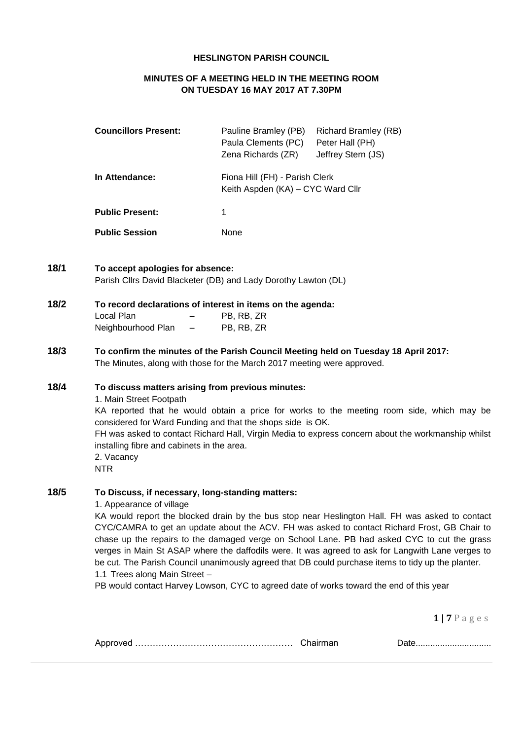### **HESLINGTON PARISH COUNCIL**

## **MINUTES OF A MEETING HELD IN THE MEETING ROOM ON TUESDAY 16 MAY 2017 AT 7.30PM**

| <b>Councillors Present:</b> | Pauline Bramley (PB)<br>Paula Clements (PC)<br>Zena Richards (ZR)   | Richard Bramley (RB)<br>Peter Hall (PH)<br>Jeffrey Stern (JS) |  |  |
|-----------------------------|---------------------------------------------------------------------|---------------------------------------------------------------|--|--|
| In Attendance:              | Fiona Hill (FH) - Parish Clerk<br>Keith Aspden (KA) - CYC Ward Cllr |                                                               |  |  |
| <b>Public Present:</b>      | 1                                                                   |                                                               |  |  |
| <b>Public Session</b>       | None                                                                |                                                               |  |  |

## **18/1 To accept apologies for absence:** Parish Cllrs David Blacketer (DB) and Lady Dorothy Lawton (DL)

| 18/2 | To record declarations of interest in items on the agenda: |            |            |  |  |  |
|------|------------------------------------------------------------|------------|------------|--|--|--|
|      | Local Plan                                                 | $-$        | PB. RB. ZR |  |  |  |
|      | Neighbourhood Plan                                         | $\sim$ $-$ | PB. RB. ZR |  |  |  |

**18/3 To confirm the minutes of the Parish Council Meeting held on Tuesday 18 April 2017:** The Minutes, along with those for the March 2017 meeting were approved.

## **18/4 To discuss matters arising from previous minutes:**

1. Main Street Footpath

KA reported that he would obtain a price for works to the meeting room side, which may be considered for Ward Funding and that the shops side is OK.

FH was asked to contact Richard Hall, Virgin Media to express concern about the workmanship whilst installing fibre and cabinets in the area.

2. Vacancy NTR

## **18/5 To Discuss, if necessary, long-standing matters:**

1. Appearance of village

KA would report the blocked drain by the bus stop near Heslington Hall. FH was asked to contact CYC/CAMRA to get an update about the ACV. FH was asked to contact Richard Frost, GB Chair to chase up the repairs to the damaged verge on School Lane. PB had asked CYC to cut the grass verges in Main St ASAP where the daffodils were. It was agreed to ask for Langwith Lane verges to be cut. The Parish Council unanimously agreed that DB could purchase items to tidy up the planter. 1.1 Trees along Main Street –

PB would contact Harvey Lowson, CYC to agreed date of works toward the end of this year

|  |  | ----------------------------------- |
|--|--|-------------------------------------|
|--|--|-------------------------------------|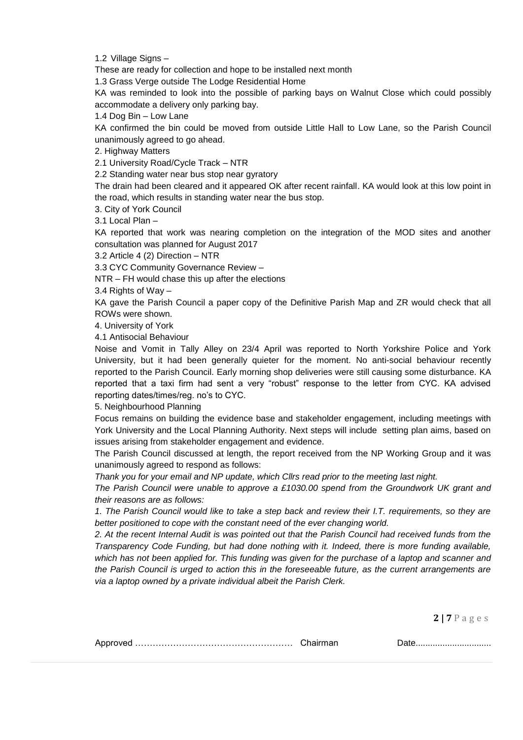1.2 Village Signs –

These are ready for collection and hope to be installed next month

1.3 Grass Verge outside The Lodge Residential Home

KA was reminded to look into the possible of parking bays on Walnut Close which could possibly accommodate a delivery only parking bay.

1.4 Dog Bin – Low Lane

KA confirmed the bin could be moved from outside Little Hall to Low Lane, so the Parish Council unanimously agreed to go ahead.

2. Highway Matters

2.1 University Road/Cycle Track – NTR

2.2 Standing water near bus stop near gyratory

The drain had been cleared and it appeared OK after recent rainfall. KA would look at this low point in the road, which results in standing water near the bus stop.

3. City of York Council

3.1 Local Plan –

KA reported that work was nearing completion on the integration of the MOD sites and another consultation was planned for August 2017

3.2 Article 4 (2) Direction – NTR

3.3 CYC Community Governance Review –

NTR – FH would chase this up after the elections

3.4 Rights of Way –

KA gave the Parish Council a paper copy of the Definitive Parish Map and ZR would check that all ROWs were shown.

4. University of York

4.1 Antisocial Behaviour

Noise and Vomit in Tally Alley on 23/4 April was reported to North Yorkshire Police and York University, but it had been generally quieter for the moment. No anti-social behaviour recently reported to the Parish Council. Early morning shop deliveries were still causing some disturbance. KA reported that a taxi firm had sent a very "robust" response to the letter from CYC. KA advised reporting dates/times/reg. no's to CYC.

5. Neighbourhood Planning

Focus remains on building the evidence base and stakeholder engagement, including meetings with York University and the Local Planning Authority. Next steps will include setting plan aims, based on issues arising from stakeholder engagement and evidence.

The Parish Council discussed at length, the report received from the NP Working Group and it was unanimously agreed to respond as follows:

*Thank you for your email and NP update, which Cllrs read prior to the meeting last night.*

*The Parish Council were unable to approve a £1030.00 spend from the Groundwork UK grant and their reasons are as follows:*

*1. The Parish Council would like to take a step back and review their I.T. requirements, so they are better positioned to cope with the constant need of the ever changing world.*

*2. At the recent Internal Audit is was pointed out that the Parish Council had received funds from the Transparency Code Funding, but had done nothing with it. Indeed, there is more funding available, which has not been applied for. This funding was given for the purchase of a laptop and scanner and the Parish Council is urged to action this in the foreseeable future, as the current arrangements are via a laptop owned by a private individual albeit the Parish Clerk.*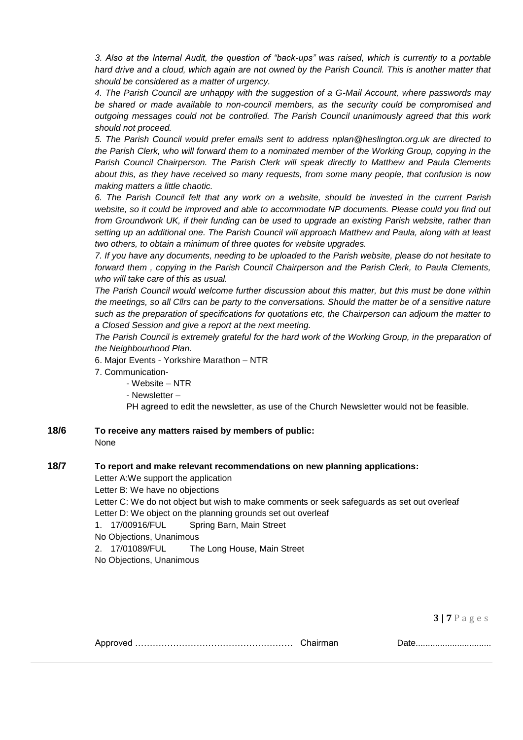*3. Also at the Internal Audit, the question of "back-ups" was raised, which is currently to a portable hard drive and a cloud, which again are not owned by the Parish Council. This is another matter that should be considered as a matter of urgency.*

*4. The Parish Council are unhappy with the suggestion of a G-Mail Account, where passwords may be shared or made available to non-council members, as the security could be compromised and outgoing messages could not be controlled. The Parish Council unanimously agreed that this work should not proceed.*

*5. The Parish Council would prefer emails sent to address [nplan@heslington.org.uk](mailto:nplan@heslington.org.uk) are directed to the Parish Clerk, who will forward them to a nominated member of the Working Group, copying in the Parish Council Chairperson. The Parish Clerk will speak directly to Matthew and Paula Clements about this, as they have received so many requests, from some many people, that confusion is now making matters a little chaotic.*

*6. The Parish Council felt that any work on a website, should be invested in the current Parish*  website, so it could be improved and able to accommodate NP documents. Please could you find out *from Groundwork UK, if their funding can be used to upgrade an existing Parish website, rather than setting up an additional one. The Parish Council will approach Matthew and Paula, along with at least two others, to obtain a minimum of three quotes for website upgrades.*

*7. If you have any documents, needing to be uploaded to the Parish website, please do not hesitate to forward them , copying in the Parish Council Chairperson and the Parish Clerk, to Paula Clements, who will take care of this as usual.* 

*The Parish Council would welcome further discussion about this matter, but this must be done within the meetings, so all Cllrs can be party to the conversations. Should the matter be of a sensitive nature such as the preparation of specifications for quotations etc, the Chairperson can adjourn the matter to a Closed Session and give a report at the next meeting.*

*The Parish Council is extremely grateful for the hard work of the Working Group, in the preparation of the Neighbourhood Plan.*

6. Major Events - Yorkshire Marathon – NTR

7. Communication-

- Website – NTR

- Newsletter –

PH agreed to edit the newsletter, as use of the Church Newsletter would not be feasible.

**18/6 To receive any matters raised by members of public:** None

### **18/7 To report and make relevant recommendations on new planning applications:**

Letter A:We support the application Letter B: We have no objections Letter C: We do not object but wish to make comments or seek safeguards as set out overleaf Letter D: We object on the planning grounds set out overleaf 1. 17/00916/FUL Spring Barn, Main Street

No Objections, Unanimous

2. 17/01089/FUL The Long House, Main Street

No Objections, Unanimous

**3 | 7** P a g e s

|  | Chairman |
|--|----------|
|--|----------|

Approved ……………………………………………… Chairman Date...............................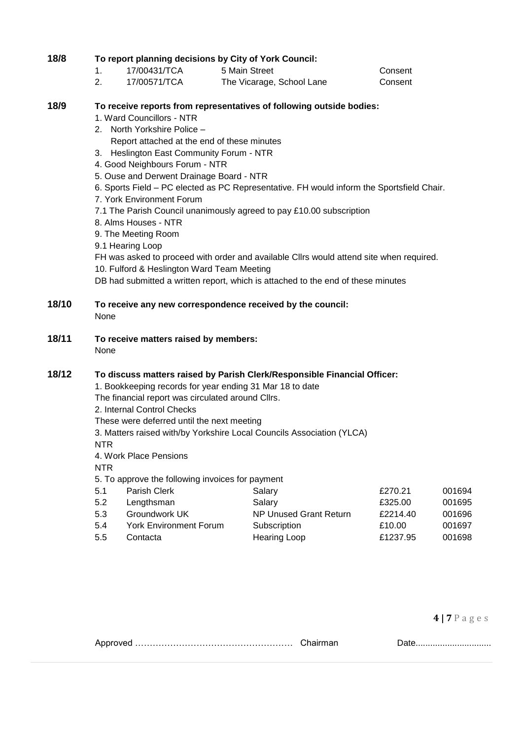# **18/8 To report planning decisions by City of York Council:**

- 1. 17/00431/TCA 5 Main Street Consent
- 2. 17/00571/TCA The Vicarage, School Lane Consent

## **18/9 To receive reports from representatives of following outside bodies:**

- 1. Ward Councillors NTR
- 2. North Yorkshire Police
	- Report attached at the end of these minutes
- 3. Heslington East Community Forum NTR
- 4. Good Neighbours Forum NTR
- 5. Ouse and Derwent Drainage Board NTR
- 6. Sports Field PC elected as PC Representative. FH would inform the Sportsfield Chair.
- 7. York Environment Forum
- 7.1 The Parish Council unanimously agreed to pay £10.00 subscription
- 8. Alms Houses NTR
- 9. The Meeting Room
- 9.1 Hearing Loop
- FH was asked to proceed with order and available Cllrs would attend site when required.
- 10. Fulford & Heslington Ward Team Meeting
- DB had submitted a written report, which is attached to the end of these minutes

### **18/10 To receive any new correspondence received by the council:** None

- 
- **18/11 To receive matters raised by members:**

None

# **18/12 To discuss matters raised by Parish Clerk/Responsible Financial Officer:**

- 1. Bookkeeping records for year ending 31 Mar 18 to date
- The financial report was circulated around Cllrs.
- 2. Internal Control Checks
- These were deferred until the next meeting
- 3. Matters raised with/by Yorkshire Local Councils Association (YLCA)

NTR

4. Work Place Pensions

NTR

5. To approve the following invoices for payment

| 5.1 | Parish Clerk                  | Salary                 | £270.21  | 001694 |
|-----|-------------------------------|------------------------|----------|--------|
| 5.2 | Lengthsman                    | Salary                 | £325.00  | 001695 |
| 5.3 | Groundwork UK                 | NP Unused Grant Return | £2214.40 | 001696 |
| 5.4 | <b>York Environment Forum</b> | Subscription           | £10.00   | 001697 |
| 5.5 | Contacta                      | <b>Hearing Loop</b>    | £1237.95 | 001698 |

|  | ,,,,,,,,,,,,,,,,,,,,,,,,,,,,,,,, |
|--|----------------------------------|
|  |                                  |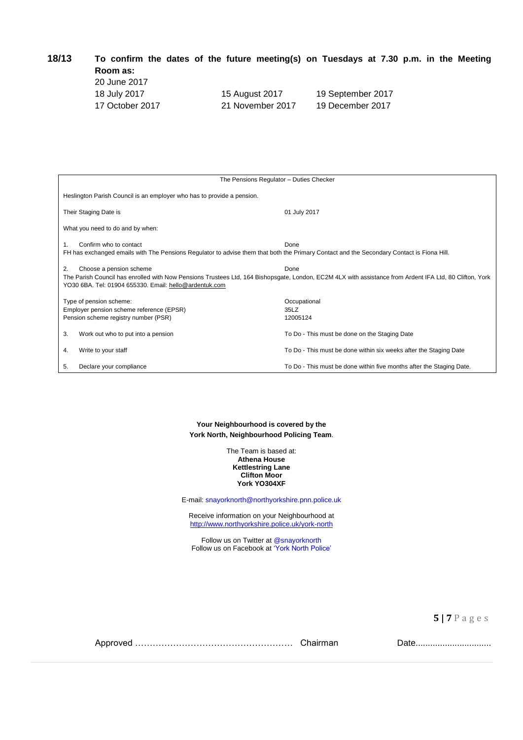| 18/13 | To confirm the dates of the future meeting(s) on Tuesdays at 7.30 p.m. in the Meeting |  |  |  |  |  |  |  |
|-------|---------------------------------------------------------------------------------------|--|--|--|--|--|--|--|
|       | Room as:                                                                              |  |  |  |  |  |  |  |

| 20 June 2017    |         |
|-----------------|---------|
| 18 July 2017    | 15 Augu |
| 17 October 2017 | 21 Nove |

ust 2017 19 September 2017

ember 2017 19 December 2017

| The Pensions Regulator - Duties Checker                                                                                                                                   |                                                                                                                                                                 |  |  |  |  |  |  |
|---------------------------------------------------------------------------------------------------------------------------------------------------------------------------|-----------------------------------------------------------------------------------------------------------------------------------------------------------------|--|--|--|--|--|--|
| Heslington Parish Council is an employer who has to provide a pension.                                                                                                    |                                                                                                                                                                 |  |  |  |  |  |  |
| Their Staging Date is                                                                                                                                                     | 01 July 2017                                                                                                                                                    |  |  |  |  |  |  |
| What you need to do and by when:                                                                                                                                          |                                                                                                                                                                 |  |  |  |  |  |  |
| Confirm who to contact<br>1.<br>FH has exchanged emails with The Pensions Regulator to advise them that both the Primary Contact and the Secondary Contact is Fiona Hill. | Done                                                                                                                                                            |  |  |  |  |  |  |
| Choose a pension scheme<br>2.<br>YO30 6BA. Tel: 01904 655330. Email: hello@ardentuk.com                                                                                   | Done<br>The Parish Council has enrolled with Now Pensions Trustees Ltd, 164 Bishopsgate, London, EC2M 4LX with assistance from Ardent IFA Ltd, 80 Clifton, York |  |  |  |  |  |  |
| Type of pension scheme:<br>Employer pension scheme reference (EPSR)<br>Pension scheme registry number (PSR)                                                               | Occupational<br>35LZ<br>12005124                                                                                                                                |  |  |  |  |  |  |
| Work out who to put into a pension<br>3.                                                                                                                                  | To Do - This must be done on the Staging Date                                                                                                                   |  |  |  |  |  |  |
| Write to your staff<br>4.                                                                                                                                                 | To Do - This must be done within six weeks after the Staging Date                                                                                               |  |  |  |  |  |  |
| Declare your compliance<br>5.                                                                                                                                             | To Do - This must be done within five months after the Staging Date.                                                                                            |  |  |  |  |  |  |

**Your Neighbourhood is covered by the York North, Neighbourhood Policing Team**.

> The Team is based at: **Athena House Kettlestring Lane Clifton Moor York YO304XF**

E-mail: snayorknorth@northyorkshire.pnn.police.uk

Receive information on your Neighbourhood at <http://www.northyorkshire.police.uk/york-north>

Follow us on Twitter at @snayorknorth Follow us on Facebook at 'York North Police'

**5 | 7** P a g e s

Approved ……………………………………………… Chairman Date...............................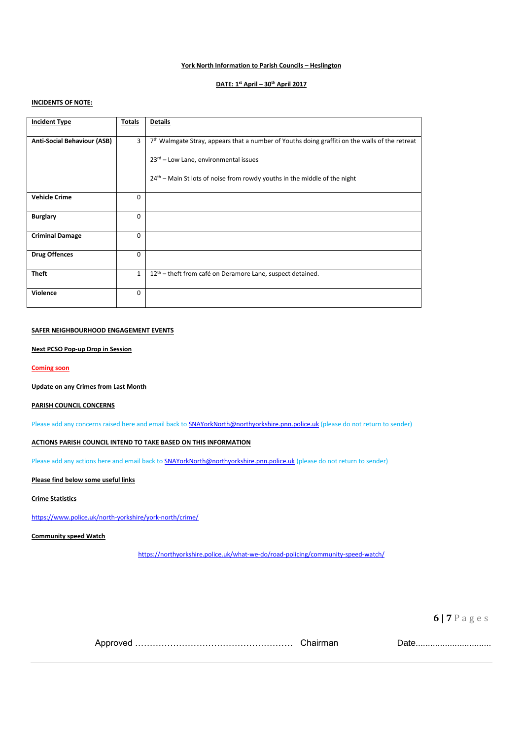### **York North Information to Parish Councils – Heslington**

#### **DATE: 1st April – 30th April 2017**

### **INCIDENTS OF NOTE:**

| <b>Incident Type</b>               | Totals       | <b>Details</b>                                                                                   |
|------------------------------------|--------------|--------------------------------------------------------------------------------------------------|
| <b>Anti-Social Behaviour (ASB)</b> | 3            | $7th$ Walmgate Stray, appears that a number of Youths doing graffiti on the walls of the retreat |
|                                    |              | 23rd - Low Lane, environmental issues                                                            |
|                                    |              | $24th$ – Main St lots of noise from rowdy youths in the middle of the night                      |
| <b>Vehicle Crime</b>               | $\Omega$     |                                                                                                  |
| <b>Burglary</b>                    | $\Omega$     |                                                                                                  |
| <b>Criminal Damage</b>             | $\Omega$     |                                                                                                  |
| <b>Drug Offences</b>               | $\Omega$     |                                                                                                  |
| <b>Theft</b>                       | $\mathbf{1}$ | 12 <sup>th</sup> – theft from café on Deramore Lane, suspect detained.                           |
| Violence                           | $\Omega$     |                                                                                                  |

### **SAFER NEIGHBOURHOOD ENGAGEMENT EVENTS**

#### **Next PCSO Pop-up Drop in Session**

**Coming soon**

#### **Update on any Crimes from Last Month**

### **PARISH COUNCIL CONCERNS**

Please add any concerns raised here and email back to **SNAYorkNorth@northyorkshire.pnn.police.uk** (please do not return to sender)

### **ACTIONS PARISH COUNCIL INTEND TO TAKE BASED ON THIS INFORMATION**

Please add any actions here and email back to **SNAYorkNorth@northyorkshire.pnn.police.uk** (please do not return to sender)

#### **Please find below some useful links**

#### **Crime Statistics**

<https://www.police.uk/north-yorkshire/york-north/crime/>

### **Community speed Watch**

<https://northyorkshire.police.uk/what-we-do/road-policing/community-speed-watch/>

**6 | 7** P a g e s

Approved ……………………………………………… Chairman Date...............................